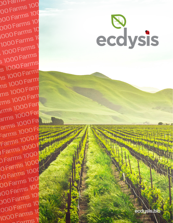ecdysis.bio

sian h

ecdysis

100 Farms 100<br>100 Farms 100 100<br>100 Farms 100<br>100 Farms 100<br>101 100 Farms 100 000 Farms 10 1000 Farms 10 1000 Farms 1 1000 Farms 3 1000 Farms s 1000 Farms 15 1000 Farms **1000 Farms** ms 1000 Farm ms 1000 Farm Irms 1000 Farm arms 1000 Far<br>arms 1000 Fa<br>Farms 1000 Fa arms 1000 Farms 1000 Farms 1000 Farms 1000 Farms 1000 Farms 1000 Farms 1000 Farms 1000 Farms 1000 Fa arms 1000 Fa 1 **Farms 1000 Farms 1000 F** 000 parms 1000 Tarms 1000 Farms 1000 0 Farms 1000 Farms 1000 1000 porter 00 Farms 100 100 Farms 100 100 Farms 100 000 Farms 10 000 Farms 16 Fax: 14 Fax: 15 Fax: 15 Fax: 15 Fax: 15 Fax: 15 Fax: 15 Fax: 15 Fax: 15 Fax: 15 Fax: 15 Fax: 15 F 000 Farms 1000 Farms 1000 Farms 1000 Farms 1000 Farms 1000 Farms 1000 Farms 1000 Farms 1000 Farms 1000 Farms 1

1000 Farms 1000 Farms 1000 Farms 1000 Farms 1000 Farms 1000 Farms 1000 Farms 1000 Farms 1000 Farms 1000 Farms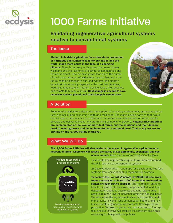

# 1000 Farms Initiative

Validating regenerative agricultural systems relative to conventional systems

#### The Issue

Modern industrial agriculture faces threats to production of nutritious and sufficient food for our nation and the world, made more acute in the face of a changing climate. There is currently a disconnect between human wellbeing and the resilience of both rural communities and the environment. How we have grown food since the outset of the industrialization of agriculture may not feed us in the future. Without changes in our food systems, the planet's topsoil will be seriously depleted in the next few decades, leading to food scarcity, nutrient decline, loss of key species, and threats to human survival. Bold change is needed to save ourselves and our planet, and that change is needed now.



## A Solution

Regenerative agriculture sits at the intersection of a healthy environment, productive agriculture, and social and economic health and resilience. The many moving parts at that nexus require appropriate science to understand the system-level interactions of farms, and to develop and deliver relevant, forward-thinking solutions to growers. Regenerative practices are implemented at the level of individual farms, but the solutions and their delivery need to reach growers and be implemented on a national level. That is why we are embarking on the '1,000 Farms Initiative'.

# What We Will Do

The '1,000 Farms Initiative' will demonstrate the power of regenerative agriculture on a network of farms, where we will assess the status of key agronomic, ecological, and eco-



nomic factors. There are two overarching scientific goals:

1) Validate key regenerative agricultural systems around the U.S. relative to conventional systems

2) Develop data-driven roadmaps for transitioning key food systems from conventional to regenerative systems.

To achieve this, we will generate–by 2023–full site inventories annually on at least 1,000 farms that are in various stages of regenerative adoption. The information gathered from this initiative at this scale is unprecedented, and it is desperately needed to accelerate adopting regenerative agriculture at the level of individual farms and national policy. We will analyze the key factors to show producers the health of their land, how their land compares with others, and how to incorporate regenerative methods into their agricultural production. To save our planet, we must change our food system, and our initiative will produce the continent-scale data necessary to change national policies.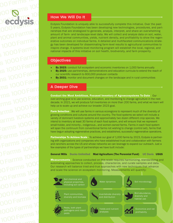00 Farms 100<br>00 **Fa**rms 100<br>00 **Far**ms 100 00 Farms 100<br>100 **Sims 100**<br>0 GCOVSIS 0 1000 **Farms 1000 Farms 1000 Farms 100 1000 Farms 1000 Farms** Edysis Founda<br>
1000 Farms 10<br>
1000 Farms 10<br>
1000 Farms 10<br>
1000 Farm 10<br>
1000 Farm 10<br>
1000 Farm 10<br>
1000 Farm 10<br>
1000 Farm 10<br>
1000 Farm 10<br>
1000 Farm 10<br>
1000 Farm 10<br>
1000 Farm 10<br>
1000 Farm 10<br>
1000 Farm 10<br>
1000 Far 1000 Farms 1<br>
1000 Farms 1<br>
1000 Farms 1<br>
1000 Farms 1<br>
1000 Farms 1<br>
1000 Farms 1<br>
1000 Farms 1<br>
1000 Farms 1<br>
1000 Farms 1<br>
1000 Farms 1<br>
1000 Farms 1<br>
1000 Farms 1<br>
1000 Farms 1<br>
1000 Farms 1<br>
1000 Farms 1<br>
1000 Farms 1 TOOO Farms Tool and the Second Second Control and the Second Second Control and the Second Control and the Second Control and Control and Control and Control and Control and Control and Control and Control and Control and  $\frac{1000 \text{ Farms}}{1000 \text{ Farms}}$  $1000$  Farms by 2023: conduction and the set of the set of the set of the set of the set of the set of the set of the set of the set of the set of the set of the set of the set of the set of the set of the set of the set  $\begin{array}{r} \mathbf{13} \ \mathbf{14} \ \mathbf{15} \ \mathbf{16} \ \mathbf{17} \ \mathbf{18} \ \mathbf{19} \ \mathbf{19} \ \mathbf{10} \ \mathbf{11} \ \mathbf{12} \ \mathbf{13} \ \mathbf{14} \ \mathbf{15} \ \mathbf{16} \ \mathbf{17} \ \mathbf{18} \ \mathbf{19} \ \mathbf{10} \ \mathbf{11} \ \mathbf{12} \ \mathbf{13} \ \mathbf{14} \ \mathbf{15} \ \mathbf{16} \ \mathbf{17} \ \mathbf{1$ TIME<br>
1000 Farms 1000 Farms conduct the Most Ambit<br>
1000 Farms decade. In 2021, we will prove<br>
1000 Farms calculum Moutillum  $\n **1000 Fall**\n\n **1000 Fall**\n\n **1000 Fall**\n\n **1000 Fall**\n\n **1000 Fall**\n\n **1000 Fall**\n\n **1000 Fall**\n\n **1000 Fall**\n\n **1000 Fall**\n\n **1000 Fall**\n\n **1000 Fall**\n$ arm selection - We will use for the priority of dominant livestock stress of the priority of dominant livestock stress of the priority of dominant livestock stress of the priority of dominant livestock stress of the priori  $\frac{1000 \text{ Fe}}{1000 \text{ Fe}}$ <br>  $\frac{1000 \text{ Fe}}{1000 \text{ Fe}}$ <br>  $\frac{1000 \text{ Fe}}{1000 \text{ Be}}$ <br>  $\frac{1000 \text{ Fe}}{1000 \text{ Be}}$ <br>  $\frac{1000 \text{ Fe}}{1000 \text{ Be}}$ <br>  $\frac{1000 \text{ Fe}}{1000 \text{ Be}}$ <br>  $\frac{1000 \text{ Fe}}{1000 \text{ Be}}$ <br>  $\frac{1000 \text{ Fe}}{1000 \text{ Be}}$ <br>  $\frac{1000 \text{ Fe}}$ arms 1000 Farms 1000 Farms 1000 Farms 1000 Farms 1000 Farms 1000 Farms 1000 Farms 1000 Farms 1000 Farms 1000 F<br>
Farms 1000 Farms 1000 Farms 1000 Farms 1000 Farms 1000 Farms 1000 Farms 1000 Farms 1000 Farms 1000 Farms 1000<br> Farms 1000 Farms in the continuum from converse Part 115<br>Farms 1000 Farms 1000 Farms 1000 Farms 1000 Farms and compani<br>Farms 1000 Farms and companies of the types of partner<br>few examples of the types of partner<br>Farms 1000 Farms 1000 and ranchers across the US and whose<br>
1000 **Farms** 1000 **General Mills Ducks Unlimited N**<br>
Measurements - Science conducte<br>
Neasurements - Science conducte<br>
Neasurements - Science conducte<br>
OUS **Measurements - S** Text: 1000 General Mills Ducks<br>
1000 Measurements - Science<br>
1000 automating approach<br>
2000 DEATMS<br>
1000 and scale the science Measurements - Science conducted<br>
1000 Farms 1000 Farms 100<br>
1000 Farms 100<br>
Soil chemical and<br>
Notes the science on ecosystem respectively. rms 1000 Farms 1000 Farms 1000

#### How We Will Do It

Ecdysis Foundation is uniquely able to successfully complete this initiative. Over the past 5 years, Ecdysis Foundation has been developing new technologies, procedures, and partnerships that are strategized to generate, analyze, interpret, and share an overwhelming amount of farm- and landscape-level data. We will collect and analyze data on soil, water, plant and animal communities, yields, nutrient density, and profitability to show the regenerative outcomes on individual farms. A detailed and multifaceted communications strategy has been developed for disseminating farm-level results to agricultural communities to inspire change. A systems-level monitoring program will establish the local, regional, and national impacts of this initiative on soil health, biodiversity, and farm prosperity.

#### **Objectives**

- **By 2023:** conduct full ecosystem and economic inventories on 1,000 farms annually
- By 2025: use partnerships, demonstrations and education curricula to extend the reach of our scientific research to 600,000 producer contacts
- **By 2031:** monitor and document changes on the landscape and in rural communities

## A Deeper Dive

Conduct the Most Ambitious, Focused Inventory of Agroecosystems To-Date - Our over-arching goal is to use science, education, and monitoring to change agriculture in the next decade. In 2021, we will produce full inventories on more than 200 farms, and what we learn will help us to scale up and achieve our broader 2023 goal.

**Farm Selection** - We will use farms in various ecoregions to represent much of the diversity of growing conditions and cultures around the country. The food systems we select will include a variety of dominant livestock systems and approximately two dozen different crop species. We intend to inventory at least 30 farms of each food system, and will ensure that we represent small-holder, and minority-, indigenous-, and women-owned farms. Farms in each food system will span the continuum from conventional farms not wishing to change (control set), farms that have begun adopting regenerative practices, and established, successful regenerative operations.

Partnerships To Achieve Scale - To achieve our goal of 1,000 farms by 2023, Ecdysis is partnering with organizations and companies who have established trust and collaboration with farmers and ranchers across the US and whose networks we can leverage to expand our outreach. Just a few examples of the types of partnerships we have built include:

#### General Mills Ducks Unlimited Mad Agriculture (The Perennial Fund) UC Davis USGS

Measurements - Science conducted on this scale requires harmonizing, standardizing and automating approaches to collect, process, characterize, and curate samples and data. Our research will balance tried-and-true approaches with new techniques that advance and scale the science on ecosystem monitoring. Measurements will quantify: